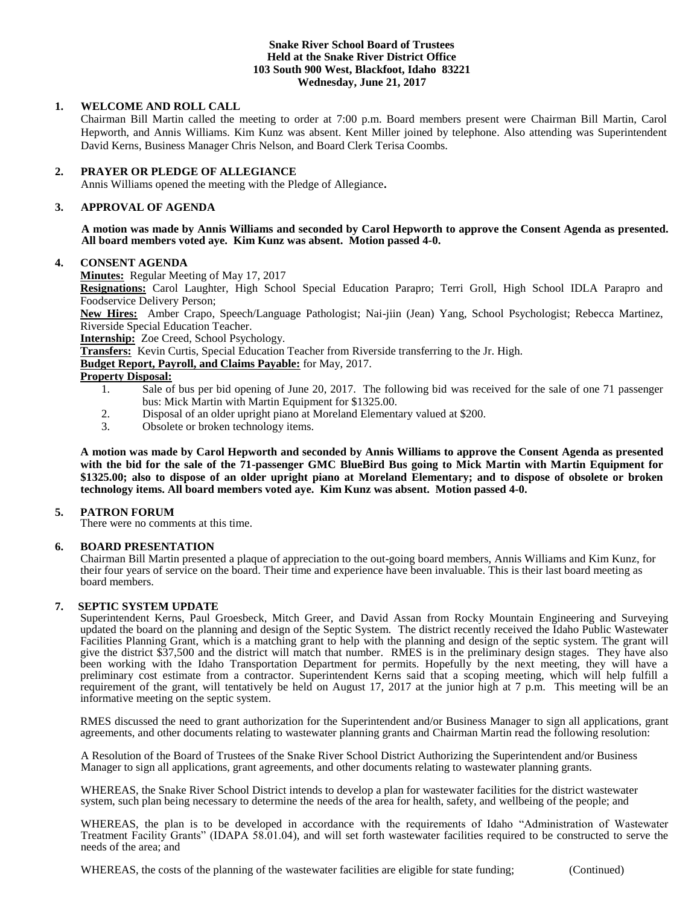### **Snake River School Board of Trustees Held at the Snake River District Office 103 South 900 West, Blackfoot, Idaho 83221 Wednesday, June 21, 2017**

### **1. WELCOME AND ROLL CALL**

Chairman Bill Martin called the meeting to order at 7:00 p.m. Board members present were Chairman Bill Martin, Carol Hepworth, and Annis Williams. Kim Kunz was absent. Kent Miller joined by telephone. Also attending was Superintendent David Kerns, Business Manager Chris Nelson, and Board Clerk Terisa Coombs.

#### **2. PRAYER OR PLEDGE OF ALLEGIANCE**

Annis Williams opened the meeting with the Pledge of Allegiance**.** 

#### **3. APPROVAL OF AGENDA**

**A motion was made by Annis Williams and seconded by Carol Hepworth to approve the Consent Agenda as presented. All board members voted aye. Kim Kunz was absent. Motion passed 4-0.**

#### **4. CONSENT AGENDA**

**Minutes:** Regular Meeting of May 17, 2017

**Resignations:** Carol Laughter, High School Special Education Parapro; Terri Groll, High School IDLA Parapro and Foodservice Delivery Person;

**New Hires:** Amber Crapo, Speech/Language Pathologist; Nai-jiin (Jean) Yang, School Psychologist; Rebecca Martinez, Riverside Special Education Teacher.

**Internship:** Zoe Creed, School Psychology.

**Transfers:** Kevin Curtis, Special Education Teacher from Riverside transferring to the Jr. High.

**Budget Report, Payroll, and Claims Payable:** for May, 2017.

## **Property Disposal:**

- 1. Sale of bus per bid opening of June 20, 2017. The following bid was received for the sale of one 71 passenger bus: Mick Martin with Martin Equipment for \$1325.00.
- 2. Disposal of an older upright piano at Moreland Elementary valued at \$200.
- 3. Obsolete or broken technology items.

**A motion was made by Carol Hepworth and seconded by Annis Williams to approve the Consent Agenda as presented with the bid for the sale of the 71-passenger GMC BlueBird Bus going to Mick Martin with Martin Equipment for \$1325.00; also to dispose of an older upright piano at Moreland Elementary; and to dispose of obsolete or broken technology items. All board members voted aye. Kim Kunz was absent. Motion passed 4-0.** 

### **5. PATRON FORUM**

There were no comments at this time.

### **6. BOARD PRESENTATION**

Chairman Bill Martin presented a plaque of appreciation to the out-going board members, Annis Williams and Kim Kunz, for their four years of service on the board. Their time and experience have been invaluable. This is their last board meeting as board members.

### **7. SEPTIC SYSTEM UPDATE**

Superintendent Kerns, Paul Groesbeck, Mitch Greer, and David Assan from Rocky Mountain Engineering and Surveying updated the board on the planning and design of the Septic System. The district recently received the Idaho Public Wastewater Facilities Planning Grant, which is a matching grant to help with the planning and design of the septic system. The grant will give the district \$37,500 and the district will match that number. RMES is in the preliminary design stages. They have also been working with the Idaho Transportation Department for permits. Hopefully by the next meeting, they will have a preliminary cost estimate from a contractor. Superintendent Kerns said that a scoping meeting, which will help fulfill a requirement of the grant, will tentatively be held on August 17, 2017 at the junior high at 7 p.m. This meeting will be an informative meeting on the septic system.

RMES discussed the need to grant authorization for the Superintendent and/or Business Manager to sign all applications, grant agreements, and other documents relating to wastewater planning grants and Chairman Martin read the following resolution:

A Resolution of the Board of Trustees of the Snake River School District Authorizing the Superintendent and/or Business Manager to sign all applications, grant agreements, and other documents relating to wastewater planning grants.

WHEREAS, the Snake River School District intends to develop a plan for wastewater facilities for the district wastewater system, such plan being necessary to determine the needs of the area for health, safety, and wellbeing of the people; and

WHEREAS, the plan is to be developed in accordance with the requirements of Idaho "Administration of Wastewater Treatment Facility Grants" (IDAPA 58.01.04), and will set forth wastewater facilities required to be constructed to serve the needs of the area; and

WHEREAS, the costs of the planning of the wastewater facilities are eligible for state funding; (Continued)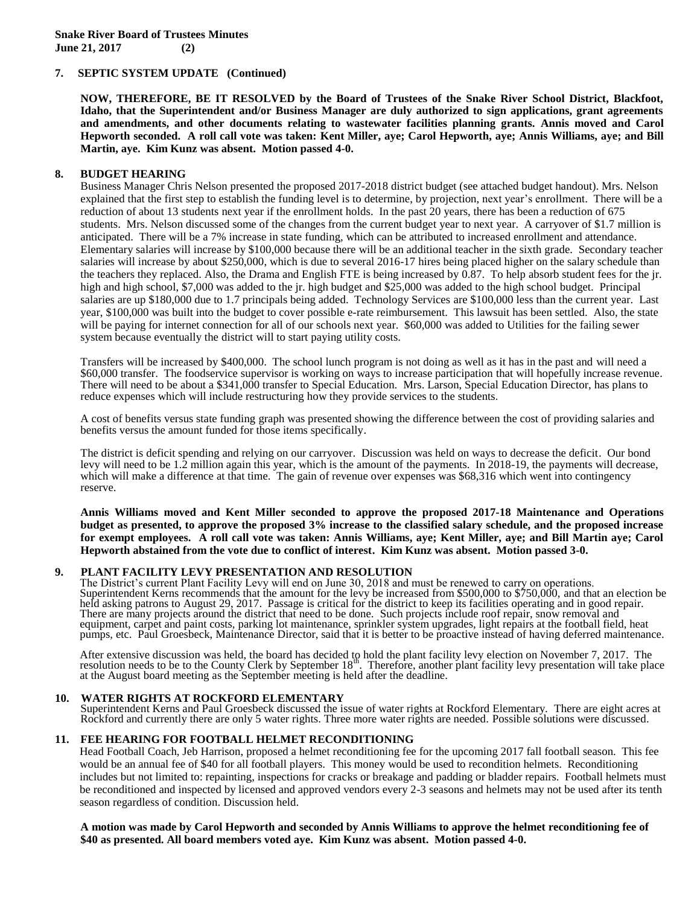### **7. SEPTIC SYSTEM UPDATE (Continued)**

**NOW, THEREFORE, BE IT RESOLVED by the Board of Trustees of the Snake River School District, Blackfoot, Idaho, that the Superintendent and/or Business Manager are duly authorized to sign applications, grant agreements and amendments, and other documents relating to wastewater facilities planning grants. Annis moved and Carol Hepworth seconded. A roll call vote was taken: Kent Miller, aye; Carol Hepworth, aye; Annis Williams, aye; and Bill Martin, aye. Kim Kunz was absent. Motion passed 4-0.** 

### **8. BUDGET HEARING**

Business Manager Chris Nelson presented the proposed 2017-2018 district budget (see attached budget handout). Mrs. Nelson explained that the first step to establish the funding level is to determine, by projection, next year's enrollment. There will be a reduction of about 13 students next year if the enrollment holds. In the past 20 years, there has been a reduction of 675 students. Mrs. Nelson discussed some of the changes from the current budget year to next year. A carryover of \$1.7 million is anticipated. There will be a 7% increase in state funding, which can be attributed to increased enrollment and attendance. Elementary salaries will increase by \$100,000 because there will be an additional teacher in the sixth grade. Secondary teacher salaries will increase by about \$250,000, which is due to several 2016-17 hires being placed higher on the salary schedule than the teachers they replaced. Also, the Drama and English FTE is being increased by 0.87. To help absorb student fees for the jr. high and high school, \$7,000 was added to the jr. high budget and \$25,000 was added to the high school budget. Principal salaries are up \$180,000 due to 1.7 principals being added. Technology Services are \$100,000 less than the current year. Last year, \$100,000 was built into the budget to cover possible e-rate reimbursement. This lawsuit has been settled. Also, the state will be paying for internet connection for all of our schools next year. \$60,000 was added to Utilities for the failing sewer system because eventually the district will to start paying utility costs.

Transfers will be increased by \$400,000. The school lunch program is not doing as well as it has in the past and will need a \$60,000 transfer. The foodservice supervisor is working on ways to increase participation that will hopefully increase revenue. There will need to be about a \$341,000 transfer to Special Education. Mrs. Larson, Special Education Director, has plans to reduce expenses which will include restructuring how they provide services to the students.

A cost of benefits versus state funding graph was presented showing the difference between the cost of providing salaries and benefits versus the amount funded for those items specifically.

The district is deficit spending and relying on our carryover. Discussion was held on ways to decrease the deficit. Our bond levy will need to be 1.2 million again this year, which is the amount of the payments. In 2018-19, the payments will decrease, which will make a difference at that time. The gain of revenue over expenses was \$68,316 which went into contingency reserve.

**Annis Williams moved and Kent Miller seconded to approve the proposed 2017-18 Maintenance and Operations budget as presented, to approve the proposed 3% increase to the classified salary schedule, and the proposed increase for exempt employees. A roll call vote was taken: Annis Williams, aye; Kent Miller, aye; and Bill Martin aye; Carol Hepworth abstained from the vote due to conflict of interest. Kim Kunz was absent. Motion passed 3-0.** 

## **9. PLANT FACILITY LEVY PRESENTATION AND RESOLUTION**

The District's current Plant Facility Levy will end on June 30, 2018 and must be renewed to carry on operations. Superintendent Kerns recommends that the amount for the levy be increased from \$500,000 to \$750,000, and that an election be held asking patrons to August 29, 2017. Passage is critical for the district to keep its facilities operating and in good repair. There are many projects around the district that need to be done. Such projects include roof repair, snow removal and equipment, carpet and paint costs, parking lot maintenance, sprinkler system upgrades, light repairs at the football field, heat pumps, etc. Paul Groesbeck, Maintenance Director, said that it is better to be proactive instead of having deferred maintenance.

After extensive discussion was held, the board has decided to hold the plant facility levy election on November 7, 2017. The resolution needs to be to the County Clerk by September 18<sup>th</sup>. Therefore, another plant facility at the August board meeting as the September meeting is held after the deadline.

### **10. WATER RIGHTS AT ROCKFORD ELEMENTARY**

Superintendent Kerns and Paul Groesbeck discussed the issue of water rights at Rockford Elementary. There are eight acres at Rockford and currently there are only 5 water rights. Three more water rights are needed. Possible solutions were discussed.

### **11. FEE HEARING FOR FOOTBALL HELMET RECONDITIONING**

Head Football Coach, Jeb Harrison, proposed a helmet reconditioning fee for the upcoming 2017 fall football season. This fee would be an annual fee of \$40 for all football players. This money would be used to recondition helmets. Reconditioning includes but not limited to: repainting, inspections for cracks or breakage and padding or bladder repairs. Football helmets must be reconditioned and inspected by licensed and approved vendors every 2-3 seasons and helmets may not be used after its tenth season regardless of condition. Discussion held.

**A motion was made by Carol Hepworth and seconded by Annis Williams to approve the helmet reconditioning fee of \$40 as presented. All board members voted aye. Kim Kunz was absent. Motion passed 4-0.**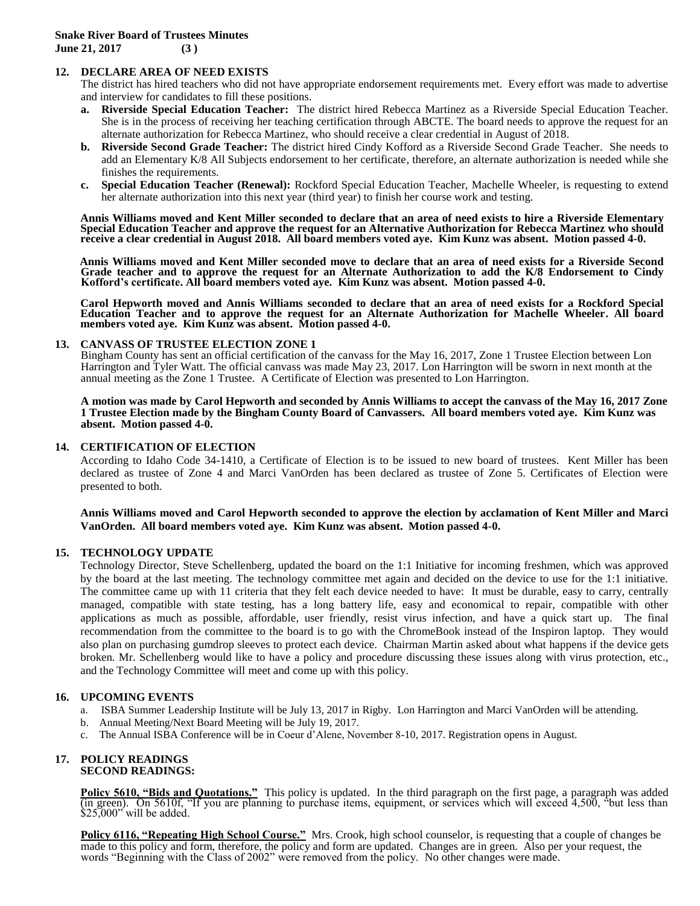## **12. DECLARE AREA OF NEED EXISTS**

The district has hired teachers who did not have appropriate endorsement requirements met. Every effort was made to advertise and interview for candidates to fill these positions.

- **a. Riverside Special Education Teacher:** The district hired Rebecca Martinez as a Riverside Special Education Teacher. She is in the process of receiving her teaching certification through ABCTE. The board needs to approve the request for an alternate authorization for Rebecca Martinez, who should receive a clear credential in August of 2018.
- **b. Riverside Second Grade Teacher:** The district hired Cindy Kofford as a Riverside Second Grade Teacher. She needs to add an Elementary K/8 All Subjects endorsement to her certificate, therefore, an alternate authorization is needed while she finishes the requirements.
- **c. Special Education Teacher (Renewal):** Rockford Special Education Teacher, Machelle Wheeler, is requesting to extend her alternate authorization into this next year (third year) to finish her course work and testing.

**Annis Williams moved and Kent Miller seconded to declare that an area of need exists to hire a Riverside Elementary Special Education Teacher and approve the request for an Alternative Authorization for Rebecca Martinez who should receive a clear credential in August 2018. All board members voted aye. Kim Kunz was absent. Motion passed 4-0.**

**Annis Williams moved and Kent Miller seconded move to declare that an area of need exists for a Riverside Second Grade teacher and to approve the request for an Alternate Authorization to add the K/8 Endorsement to Cindy Kofford's certificate. All board members voted aye. Kim Kunz was absent. Motion passed 4-0.**

**Carol Hepworth moved and Annis Williams seconded to declare that an area of need exists for a Rockford Special Education Teacher and to approve the request for an Alternate Authorization for Machelle Wheeler. All board members voted aye. Kim Kunz was absent. Motion passed 4-0.**

#### **13. CANVASS OF TRUSTEE ELECTION ZONE 1**

Bingham County has sent an official certification of the canvass for the May 16, 2017, Zone 1 Trustee Election between Lon Harrington and Tyler Watt. The official canvass was made May 23, 2017. Lon Harrington will be sworn in next month at the annual meeting as the Zone 1 Trustee. A Certificate of Election was presented to Lon Harrington.

**A motion was made by Carol Hepworth and seconded by Annis Williams to accept the canvass of the May 16, 2017 Zone 1 Trustee Election made by the Bingham County Board of Canvassers. All board members voted aye. Kim Kunz was absent. Motion passed 4-0.**

### **14. CERTIFICATION OF ELECTION**

According to Idaho Code 34-1410, a Certificate of Election is to be issued to new board of trustees. Kent Miller has been declared as trustee of Zone 4 and Marci VanOrden has been declared as trustee of Zone 5. Certificates of Election were presented to both.

**Annis Williams moved and Carol Hepworth seconded to approve the election by acclamation of Kent Miller and Marci VanOrden. All board members voted aye. Kim Kunz was absent. Motion passed 4-0.** 

### **15. TECHNOLOGY UPDATE**

Technology Director, Steve Schellenberg, updated the board on the 1:1 Initiative for incoming freshmen, which was approved by the board at the last meeting. The technology committee met again and decided on the device to use for the 1:1 initiative. The committee came up with 11 criteria that they felt each device needed to have: It must be durable, easy to carry, centrally managed, compatible with state testing, has a long battery life, easy and economical to repair, compatible with other applications as much as possible, affordable, user friendly, resist virus infection, and have a quick start up. The final recommendation from the committee to the board is to go with the ChromeBook instead of the Inspiron laptop. They would also plan on purchasing gumdrop sleeves to protect each device. Chairman Martin asked about what happens if the device gets broken. Mr. Schellenberg would like to have a policy and procedure discussing these issues along with virus protection, etc., and the Technology Committee will meet and come up with this policy.

### **16. UPCOMING EVENTS**

- a. ISBA Summer Leadership Institute will be July 13, 2017 in Rigby. Lon Harrington and Marci VanOrden will be attending.
- b. Annual Meeting/Next Board Meeting will be July 19, 2017.
- c. The Annual ISBA Conference will be in Coeur d'Alene, November 8-10, 2017. Registration opens in August.

#### **17. POLICY READINGS SECOND READINGS:**

**Policy 5610, "Bids and Quotations."** This policy is updated. In the third paragraph on the first page, a paragraph was added (in green). On 5610f, "If you are planning to purchase items, equipment, or services which will exceed 4,500, "but less than  $$25,000"$  will be added.

**Policy 6116, "Repeating High School Course."** Mrs. Crook, high school counselor, is requesting that a couple of changes be made to this policy and form, therefore, the policy and form are updated. Changes are in green. Also per your request, the words "Beginning with the Class of 2002" were removed from the policy. No other changes were made.